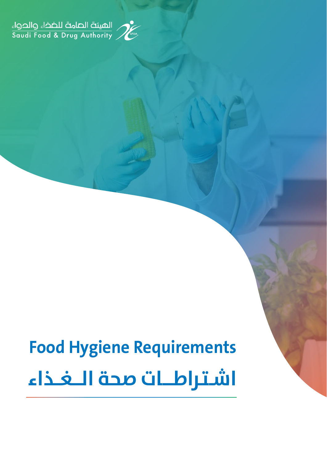



# **Food Hygiene Requirements اشــتـراطـــــات صحة الــــغـــذاء**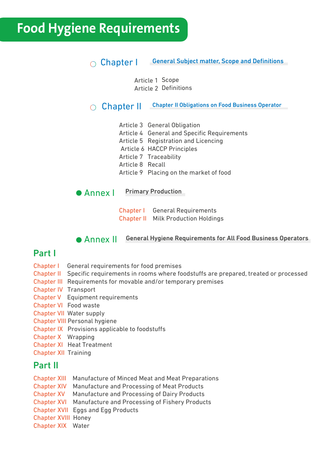## **Food Hygiene Requirements**

### ◯ Chapter | General Subject matter, Scope and Definitions

Article 1 Scope Article 2 Definitions

Chapter II Chapter II Obligations on Food Business Operator

Article 3 General Obligation

Article 4 General and Specific Requirements

- Article 5 Registration and Licencing
- Article 6 HACCP Principles

Article 7 Traceability

Article 8 Recall

Article 9 Placing on the market of food

**Annex | Primary Production** 

Chapter I General Requirements Chapter II Milk Production Holdings

Annex II General Hygiene Requirements for All Food Business Operators

## Part I

- Chapter I General requirements for food premises
- Chapter II Specific requirements in rooms where foodstuffs are prepared, treated or processed
- Chapter III Requirements for movable and/or temporary premises
- Chapter IV Transport
- Chapter V Equipment requirements
- Chapter VI Food waste
- Chapter VII Water supply
- Chapter VIII Personal hygiene
- Chapter IX Provisions applicable to foodstuffs
- Chapter X Wrapping
- Chapter XI Heat Treatment
- Chapter XII Training

### Part II

- Chapter XIII Manufacture of Minced Meat and Meat Preparations
- Chapter XIV Manufacture and Processing of Meat Products
- Chapter XV Manufacture and Processing of Dairy Products
- Chapter XVI Manufacture and Processing of Fishery Products
- Chapter XVII Eggs and Egg Products
- Chapter XVIII Honey
- Chapter XIX Water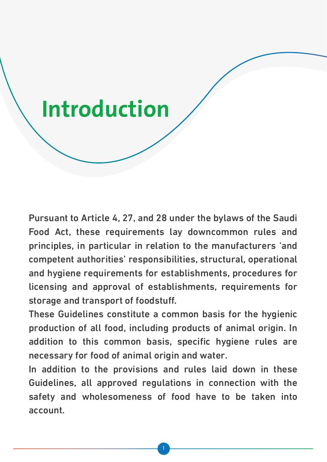# **Introduction**

Pursuant to Article 4, 27, and 28 under the bylaws of the Saudi Food Act, these requirements lay downcommon rules and principles, in particular in relation to the manufacturers 'and competent authorities' responsibilities, structural, operational and hygiene requirements for establishments, procedures for licensing and approval of establishments, requirements for storage and transport of foodstuff.

These Guidelines constitute a common basis for the hygienic production of all food, including products of animal origin. In addition to this common basis, specific hygiene rules are necessary for food of animal origin and water.

In addition to the provisions and rules laid down in these Guidelines, all approved regulations in connection with the safety and wholesomeness of food have to be taken into account.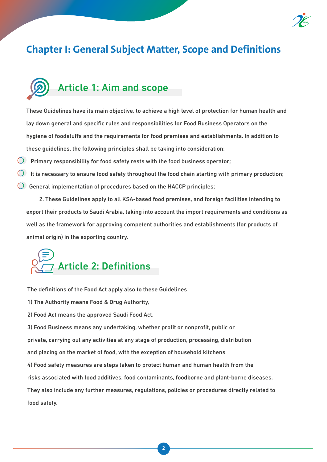

## **Chapter I: General Subject Matter, Scope and Definitions**

## Article 1: Aim and scope

These Guidelines have its main objective, to achieve a high level of protection for human health and lay down general and specific rules and responsibilities for Food Business Operators on the hygiene of foodstuffs and the requirements for food premises and establishments. In addition to these guidelines, the following principles shall be taking into consideration:

 $\bigcirc$  Primary responsibility for food safety rests with the food business operator;

It is necessary to ensure food safety throughout the food chain starting with primary production;

 $\bigcirc$  General implementation of procedures based on the HACCP principles;

 2. These Guidelines apply to all KSA-based food premises, and foreign facilities intending to export their products to Saudi Arabia, taking into account the import requirements and conditions as well as the framework for approving competent authorities and establishments (for products of animal origin) in the exporting country.



The definitions of the Food Act apply also to these Guidelines

1) The Authority means Food & Drug Authority,

2) Food Act means the approved Saudi Food Act,

3) Food Business means any undertaking, whether profit or nonprofit, public or

private, carrying out any activities at any stage of production, processing, distribution

and placing on the market of food, with the exception of household kitchens

4) Food safety measures are steps taken to protect human and human health from the

risks associated with food additives, food contaminants, foodborne and plant-borne diseases.

They also include any further measures, regulations, policies or procedures directly related to food safety.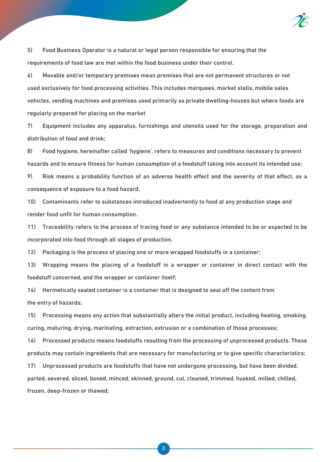

5) Food Business Operator is a natural or legal person responsible for ensuring that the requirements of food law are met within the food business under their control.

6) Movable and/or temporary premises mean premises that are not permanent structures or not used exclusively for food processing activities. This includes marquees, market stalls, mobile sales vehicles, vending machines and premises used primarily as private dwelling-houses but where foods are regularly prepared for placing on the market

7) Equipment includes any apparatus, furnishings and utensils used for the storage, preparation and distribution of food and drink;

8) Food hygiene, hereinafter called 'hygiene', refers to measures and conditions necessary to prevent hazards and to ensure fitness for human consumption of a foodstuff taking into account its intended use;

9) Risk means a probability function of an adverse health effect and the severity of that effect, as a consequence of exposure to a food hazard;

10) Contaminants refer to substances introduced inadvertently to food at any production stage and render food unfit for human consumption.

11) Traceability refers to the process of tracing food or any substance intended to be or expected to be incorporated into food through all stages of production.

12) Packaging is the process of placing one or more wrapped foodstuffs in a container;

13) Wrapping means the placing of a foodstuff in a wrapper or container in direct contact with the foodstuff concerned, and the wrapper or container itself;

14) Hermetically sealed container is a container that is designed to seal off the content from the entry of hazards;

15) Processing means any action that substantially alters the initial product, including heating, smoking, curing, maturing, drying, marinating, extraction, extrusion or a combination of those processes;

16) Processed products means foodstuffs resulting from the processing of unprocessed products. These products may contain ingredients that are necessary for manufacturing or to give specific characteristics;

17) Unprocessed products are foodstuffs that have not undergone processing, but have been divided, parted, severed, sliced, boned, minced, skinned, ground, cut, cleaned, trimmed, husked, milled, chilled, frozen, deep-frozen or thawed;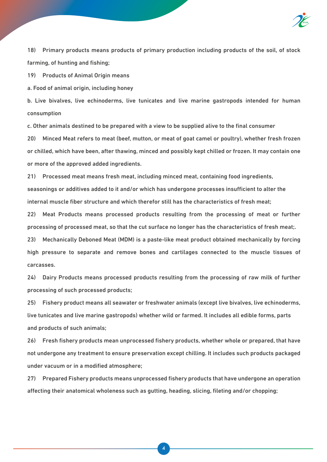

18) Primary products means products of primary production including products of the soil, of stock farming, of hunting and fishing;

19) Products of Animal Origin means

a. Food of animal origin, including honey

b. Live bivalves, live echinoderms, live tunicates and live marine gastropods intended for human consumption

c. Other animals destined to be prepared with a view to be supplied alive to the final consumer

20) Minced Meat refers to meat (beef, mutton, or meat of goat camel or poultry), whether fresh frozen or chilled, which have been, after thawing, minced and possibly kept chilled or frozen. It may contain one or more of the approved added ingredients.

21) Processed meat means fresh meat, including minced meat, containing food ingredients, seasonings or additives added to it and/or which has undergone processes insufficient to alter the internal muscle fiber structure and which therefor still has the characteristics of fresh meat;

22) Meat Products means processed products resulting from the processing of meat or further processing of processed meat, so that the cut surface no longer has the characteristics of fresh meat;.

23) Mechanically Deboned Meat (MDM) is a paste-like meat product obtained mechanically by forcing high pressure to separate and remove bones and cartilages connected to the muscle tissues of carcasses.

24) Dairy Products means processed products resulting from the processing of raw milk of further processing of such processed products;

25) Fishery product means all seawater or freshwater animals (except live bivalves, live echinoderms, live tunicates and live marine gastropods) whether wild or farmed. It includes all edible forms, parts and products of such animals;

26) Fresh fishery products mean unprocessed fishery products, whether whole or prepared, that have not undergone any treatment to ensure preservation except chilling. It includes such products packaged under vacuum or in a modified atmosphere;

27) Prepared Fishery products means unprocessed fishery products that have undergone an operation affecting their anatomical wholeness such as gutting, heading, slicing, fileting and/or chopping;

4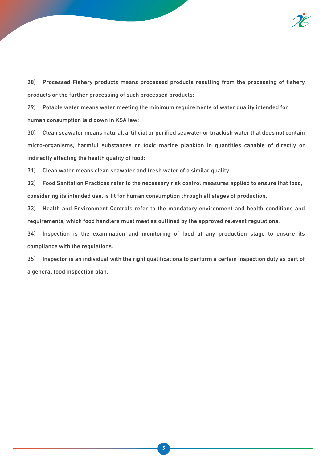

28) Processed Fishery products means processed products resulting from the processing of fishery products or the further processing of such processed products;

29) Potable water means water meeting the minimum requirements of water quality intended for human consumption laid down in KSA law;

30) Clean seawater means natural, artificial or purified seawater or brackish water that does not contain micro-organisms, harmful substances or toxic marine plankton in quantities capable of directly or indirectly affecting the health quality of food;

31) Clean water means clean seawater and fresh water of a similar quality.

32) Food Sanitation Practices refer to the necessary risk control measures applied to ensure that food, considering its intended use, is fit for human consumption through all stages of production.

33) Health and Environment Controls refer to the mandatory environment and health conditions and requirements, which food handlers must meet as outlined by the approved relevant regulations.

34) Inspection is the examination and monitoring of food at any production stage to ensure its compliance with the regulations.

35) Inspector is an individual with the right qualifications to perform a certain inspection duty as part of a general food inspection plan.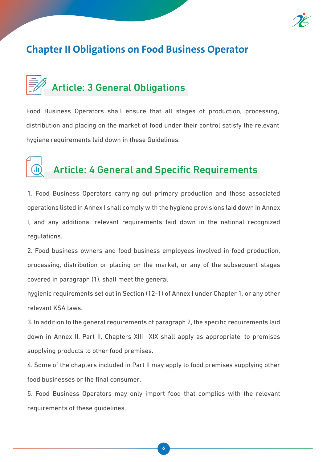

## **Chapter II Obligations on Food Business Operator**

# Article: 3 General Obligations

Food Business Operators shall ensure that all stages of production, processing, distribution and placing on the market of food under their control satisfy the relevant hygiene requirements laid down in these Guidelines.

## Article: 4 General and Specific Requirements

1. Food Business Operators carrying out primary production and those associated operations listed in Annex I shall comply with the hygiene provisions laid down in Annex I, and any additional relevant requirements laid down in the national recognized regulations.

2. Food business owners and food business employees involved in food production, processing, distribution or placing on the market, or any of the subsequent stages covered in paragraph (1), shall meet the general

hygienic requirements set out in Section (12-1) of Annex I under Chapter 1, or any other relevant KSA laws.

3. In addition to the general requirements of paragraph 2, the specific requirements laid down in Annex II, Part II, Chapters XIII –XIX shall apply as appropriate, to premises supplying products to other food premises.

4. Some of the chapters included in Part II may apply to food premises supplying other food businesses or the final consumer.

5. Food Business Operators may only import food that complies with the relevant requirements of these guidelines.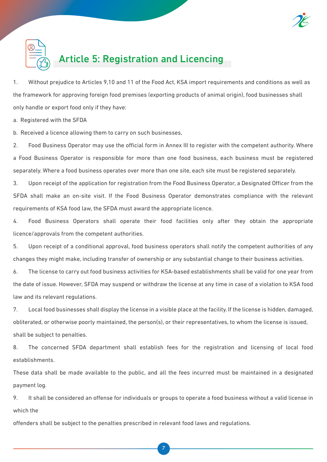



## Article 5: Registration and Licencing

1. Without prejudice to Articles 9,10 and 11 of the Food Act, KSA import requirements and conditions as well as the framework for approving foreign food premises (exporting products of animal origin), food businesses shall only handle or export food only if they have:

a. Registered with the SFDA

b. Received a licence allowing them to carry on such businesses,

2. Food Business Operator may use the official form in Annex III to register with the competent authority. Where a Food Business Operator is responsible for more than one food business, each business must be registered separately. Where a food business operates over more than one site, each site must be registered separately.

3. Upon receipt of the application for registration from the Food Business Operator, a Designated Officer from the SFDA shall make an on-site visit. If the Food Business Operator demonstrates compliance with the relevant requirements of KSA food law, the SFDA must award the appropriate licence.

4. Food Business Operators shall operate their food facilities only after they obtain the appropriate licence/approvals from the competent authorities.

5. Upon receipt of a conditional approval, food business operators shall notify the competent authorities of any changes they might make, including transfer of ownership or any substantial change to their business activities.

6. The license to carry out food business activities for KSA-based establishments shall be valid for one year from the date of issue. However, SFDA may suspend or withdraw the license at any time in case of a violation to KSA food law and its relevant regulations.

7. Local food businesses shall display the license in a visible place at the facility. If the license is hidden, damaged, obliterated, or otherwise poorly maintained, the person(s), or their representatives, to whom the license is issued, shall be subject to penalties.

8. The concerned SFDA department shall establish fees for the registration and licensing of local food establishments.

These data shall be made available to the public, and all the fees incurred must be maintained in a designated payment log.

9. It shall be considered an offense for individuals or groups to operate a food business without a valid license in which the

offenders shall be subject to the penalties prescribed in relevant food laws and regulations.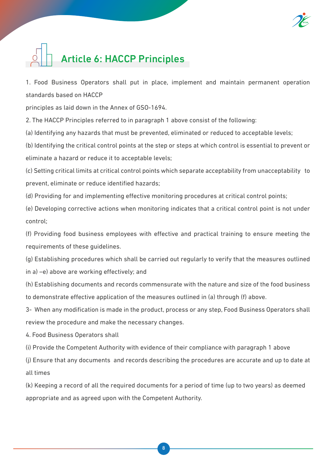

# Article 6: HACCP Principles

1. Food Business Operators shall put in place, implement and maintain permanent operation standards based on HACCP

principles as laid down in the Annex of GSO-1694.

2. The HACCP Principles referred to in paragraph 1 above consist of the following:

(a) Identifying any hazards that must be prevented, eliminated or reduced to acceptable levels;

(b) Identifying the critical control points at the step or steps at which control is essential to prevent or eliminate a hazard or reduce it to acceptable levels;

(c) Setting critical limits at critical control points which separate acceptability from unacceptability to prevent, eliminate or reduce identified hazards;

(d) Providing for and implementing effective monitoring procedures at critical control points;

(e) Developing corrective actions when monitoring indicates that a critical control point is not under control;

(f) Providing food business employees with effective and practical training to ensure meeting the requirements of these guidelines.

(g) Establishing procedures which shall be carried out regularly to verify that the measures outlined

in a) –e) above are working effectively; and

(h) Establishing documents and records commensurate with the nature and size of the food business to demonstrate effective application of the measures outlined in (a) through (f) above.

3- When any modification is made in the product, process or any step, Food Business Operators shall review the procedure and make the necessary changes.

4. Food Business Operators shall

(i) Provide the Competent Authority with evidence of their compliance with paragraph 1 above

(j) Ensure that any documents and records describing the procedures are accurate and up to date at all times

(k) Keeping a record of all the required documents for a period of time (up to two years) as deemed appropriate and as agreed upon with the Competent Authority.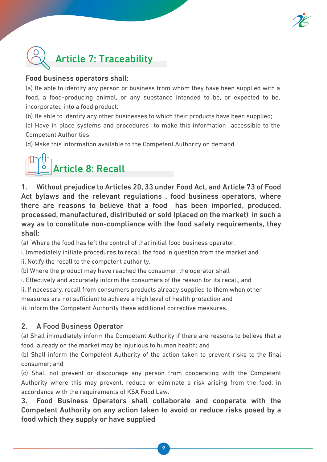



### Food business operators shall:

(a) Be able to identify any person or business from whom they have been supplied with a food, a food-producing animal, or any substance intended to be, or expected to be, incorporated into a food product;

(b) Be able to identify any other businesses to which their products have been supplied;

(c) Have in place systems and procedures to make this information accessible to the Competent Authorities;

(d) Make this information available to the Competent Authority on demand.

# Article 8: Recall

1. Without prejudice to Articles 20, 33 under Food Act, and Article 73 of Food Act bylaws and the relevant regulations , food business operators, where there are reasons to believe that a food has been imported, produced, processed, manufactured, distributed or sold (placed on the market) in such a way as to constitute non-compliance with the food safety requirements, they shall:

(a) Where the food has left the control of that initial food business operator,

i. Immediately initiate procedures to recall the food in question from the market and ii. Notify the recall to the competent authority.

(b) Where the product may have reached the consumer, the operator shall

i. Effectively and accurately inform the consumers of the reason for its recall, and

ii. If necessary, recall from consumers products already supplied to them when other

measures are not sufficient to achieve a high level of health protection and

iii. Inform the Competent Authority these additional corrective measures.

### 2. A Food Business Operator

(a) Shall immediately inform the Competent Authority if there are reasons to believe that a food already on the market may be injurious to human health; and

(b) Shall inform the Competent Authority of the action taken to prevent risks to the final consumer; and

(c) Shall not prevent or discourage any person from cooperating with the Competent Authority where this may prevent, reduce or eliminate a risk arising from the food, in accordance with the requirements of KSA Food Law.

3. Food Business Operators shall collaborate and cooperate with the Competent Authority on any action taken to avoid or reduce risks posed by a food which they supply or have supplied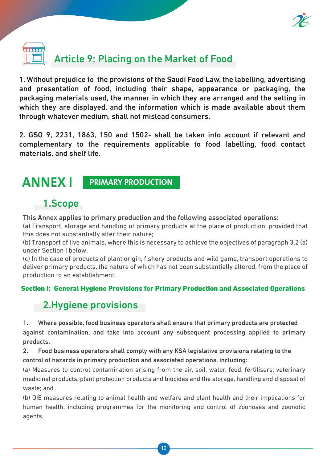

# Article 9: Placing on the Market of Food

1. Without prejudice to the provisions of the Saudi Food Law, the labelling, advertising and presentation of food, including their shape, appearance or packaging, the packaging materials used, the manner in which they are arranged and the setting in which they are displayed, and the information which is made available about them through whatever medium, shall not mislead consumers.

2. GSO 9, 2231, 1863, 150 and 1502- shall be taken into account if relevant and complementary to the requirements applicable to food labelling, food contact materials, and shelf life.

**ANNEX I PRIMARY PRODUCTION**

## 1.Scope

This Annex applies to primary production and the following associated operations:

(a) Transport, storage and handling of primary products at the place of production, provided that this does not substantially alter their nature;

(b) Transport of live animals, where this is necessary to achieve the objectives of paragraph 3.2 (a) under Section I below.

(c) In the case of products of plant origin, fishery products and wild game, transport operations to deliver primary products, the nature of which has not been substantially altered, from the place of production to an establishment.

### Section I: General Hygiene Provisions for Primary Production and Associated Operations

## 2.Hygiene provisions

1. Where possible, food business operators shall ensure that primary products are protected against contamination, and take into account any subsequent processing applied to primary products.

2. Food business operators shall comply with any KSA legislative provisions relating to the control of hazards in primary production and associated operations, including:

(a) Measures to control contamination arising from the air, soil, water, feed, fertilisers, veterinary medicinal products, plant protection products and biocides and the storage, handling and disposal of waste; and

(b) OIE measures relating to animal health and welfare and plant health and their implications for human health, including programmes for the monitoring and control of zoonoses and zoonotic agents.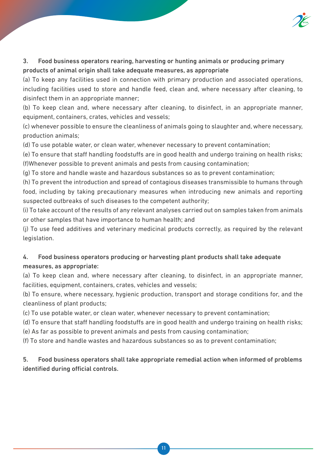

### 3. Food business operators rearing, harvesting or hunting animals or producing primary products of animal origin shall take adequate measures, as appropriate

(a) To keep any facilities used in connection with primary production and associated operations, including facilities used to store and handle feed, clean and, where necessary after cleaning, to disinfect them in an appropriate manner;

(b) To keep clean and, where necessary after cleaning, to disinfect, in an appropriate manner, equipment, containers, crates, vehicles and vessels;

(c) whenever possible to ensure the cleanliness of animals going to slaughter and, where necessary, production animals;

(d) To use potable water, or clean water, whenever necessary to prevent contamination;

(e) To ensure that staff handling foodstuffs are in good health and undergo training on health risks; (f)Whenever possible to prevent animals and pests from causing contamination;

(g) To store and handle waste and hazardous substances so as to prevent contamination;

(h) To prevent the introduction and spread of contagious diseases transmissible to humans through food, including by taking precautionary measures when introducing new animals and reporting suspected outbreaks of such diseases to the competent authority;

(i) To take account of the results of any relevant analyses carried out on samples taken from animals or other samples that have importance to human health; and

(j) To use feed additives and veterinary medicinal products correctly, as required by the relevant legislation.

### 4. Food business operators producing or harvesting plant products shall take adequate measures, as appropriate:

(a) To keep clean and, where necessary after cleaning, to disinfect, in an appropriate manner, facilities, equipment, containers, crates, vehicles and vessels;

(b) To ensure, where necessary, hygienic production, transport and storage conditions for, and the cleanliness of plant products;

(c) To use potable water, or clean water, whenever necessary to prevent contamination;

(d) To ensure that staff handling foodstuffs are in good health and undergo training on health risks;

(e) As far as possible to prevent animals and pests from causing contamination;

(f) To store and handle wastes and hazardous substances so as to prevent contamination;

5. Food business operators shall take appropriate remedial action when informed of problems identified during official controls.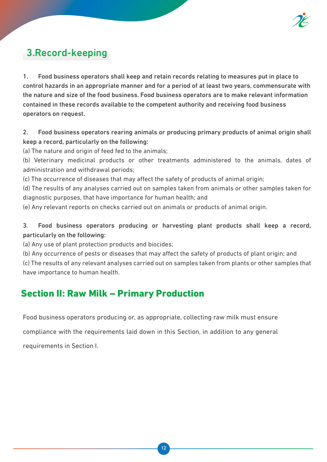

## 3.Record-keeping

1. Food business operators shall keep and retain records relating to measures put in place to control hazards in an appropriate manner and for a period of at least two years, commensurate with the nature and size of the food business. Food business operators are to make relevant information contained in these records available to the competent authority and receiving food business operators on request.

2. Food business operators rearing animals or producing primary products of animal origin shall keep a record, particularly on the following:

(a) The nature and origin of feed fed to the animals;

(b) Veterinary medicinal products or other treatments administered to the animals, dates of administration and withdrawal periods;

(c) The occurrence of diseases that may affect the safety of products of animal origin;

(d) The results of any analyses carried out on samples taken from animals or other samples taken for diagnostic purposes, that have importance for human health; and

(e) Any relevant reports on checks carried out on animals or products of animal origin.

### 3. Food business operators producing or harvesting plant products shall keep a record, particularly on the following:

(a) Any use of plant protection products and biocides;

(b) Any occurrence of pests or diseases that may affect the safety of products of plant origin; and (c) The results of any relevant analyses carried out on samples taken from plants or other samples that

have importance to human health.

### Section II: Raw Milk – Primary Production

Food business operators producing or, as appropriate, collecting raw milk must ensure

compliance with the requirements laid down in this Section, in addition to any general

requirements in Section I.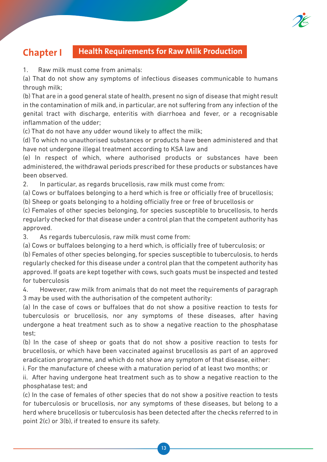

### **Chapter I Health Requirements for Raw Milk Production**

1. Raw milk must come from animals:

(a) That do not show any symptoms of infectious diseases communicable to humans through milk;

(b) That are in a good general state of health, present no sign of disease that might result in the contamination of milk and, in particular, are not suffering from any infection of the genital tract with discharge, enteritis with diarrhoea and fever, or a recognisable inflammation of the udder;

(c) That do not have any udder wound likely to affect the milk;

(d) To which no unauthorised substances or products have been administered and that have not undergone illegal treatment according to KSA law and

(e) In respect of which, where authorised products or substances have been administered, the withdrawal periods prescribed for these products or substances have been observed.

2. In particular, as regards brucellosis, raw milk must come from:

(a) Cows or buffaloes belonging to a herd which is free or officially free of brucellosis;

(b) Sheep or goats belonging to a holding officially free or free of brucellosis or

(c) Females of other species belonging, for species susceptible to brucellosis, to herds regularly checked for that disease under a control plan that the competent authority has approved.

3. As regards tuberculosis, raw milk must come from:

(a) Cows or buffaloes belonging to a herd which, is officially free of tuberculosis; or

(b) Females of other species belonging, for species susceptible to tuberculosis, to herds regularly checked for this disease under a control plan that the competent authority has approved. If goats are kept together with cows, such goats must be inspected and tested for tuberculosis

4. However, raw milk from animals that do not meet the requirements of paragraph 3 may be used with the authorisation of the competent authority:

(a) In the case of cows or buffaloes that do not show a positive reaction to tests for tuberculosis or brucellosis, nor any symptoms of these diseases, after having undergone a heat treatment such as to show a negative reaction to the phosphatase test;

(b) In the case of sheep or goats that do not show a positive reaction to tests for brucellosis, or which have been vaccinated against brucellosis as part of an approved eradication programme, and which do not show any symptom of that disease, either:

i. For the manufacture of cheese with a maturation period of at least two months; or

ii. After having undergone heat treatment such as to show a negative reaction to the phosphatase test; and

(c) In the case of females of other species that do not show a positive reaction to tests for tuberculosis or brucellosis, nor any symptoms of these diseases, but belong to a herd where brucellosis or tuberculosis has been detected after the checks referred to in point 2(c) or 3(b), if treated to ensure its safety.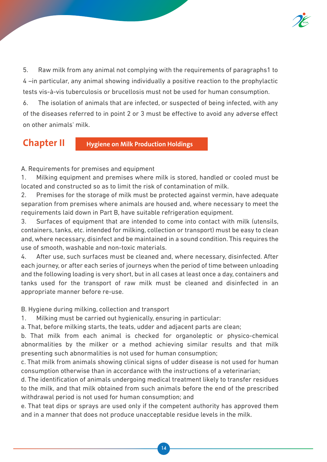

5. Raw milk from any animal not complying with the requirements of paragraphs1 to 4 –in particular, any animal showing individually a positive reaction to the prophylactic tests vis-à-vis tuberculosis or brucellosis must not be used for human consumption.

6. The isolation of animals that are infected, or suspected of being infected, with any of the diseases referred to in point 2 or 3 must be effective to avoid any adverse effect on other animals' milk.

**Chapter II Hygiene on Milk Production Holdings**

A. Requirements for premises and equipment

1. Milking equipment and premises where milk is stored, handled or cooled must be located and constructed so as to limit the risk of contamination of milk.

2. Premises for the storage of milk must be protected against vermin, have adequate separation from premises where animals are housed and, where necessary to meet the requirements laid down in Part B, have suitable refrigeration equipment.

3. Surfaces of equipment that are intended to come into contact with milk (utensils, containers, tanks, etc. intended for milking, collection or transport) must be easy to clean and, where necessary, disinfect and be maintained in a sound condition. This requires the use of smooth, washable and non-toxic materials.

4. After use, such surfaces must be cleaned and, where necessary, disinfected. After each journey, or after each series of journeys when the period of time between unloading and the following loading is very short, but in all cases at least once a day, containers and tanks used for the transport of raw milk must be cleaned and disinfected in an appropriate manner before re-use.

B. Hygiene during milking, collection and transport

1. Milking must be carried out hygienically, ensuring in particular:

a. That, before milking starts, the teats, udder and adjacent parts are clean;

b. That milk from each animal is checked for organoleptic or physico-chemical abnormalities by the milker or a method achieving similar results and that milk presenting such abnormalities is not used for human consumption;

c. That milk from animals showing clinical signs of udder disease is not used for human consumption otherwise than in accordance with the instructions of a veterinarian;

d. The identification of animals undergoing medical treatment likely to transfer residues to the milk, and that milk obtained from such animals before the end of the prescribed withdrawal period is not used for human consumption; and

e. That teat dips or sprays are used only if the competent authority has approved them and in a manner that does not produce unacceptable residue levels in the milk.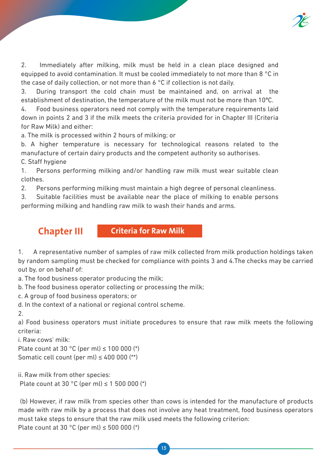

2. Immediately after milking, milk must be held in a clean place designed and equipped to avoid contamination. It must be cooled immediately to not more than 8 °C in the case of daily collection, or not more than 6 °C if collection is not daily.

3. During transport the cold chain must be maintained and, on arrival at the establishment of destination, the temperature of the milk must not be more than 10ºC.

4. Food business operators need not comply with the temperature requirements laid down in points 2 and 3 if the milk meets the criteria provided for in Chapter III (Criteria for Raw Milk) and either:

a. The milk is processed within 2 hours of milking; or

b. A higher temperature is necessary for technological reasons related to the manufacture of certain dairy products and the competent authority so authorises. C. Staff hygiene

1. Persons performing milking and/or handling raw milk must wear suitable clean clothes.

2. Persons performing milking must maintain a high degree of personal cleanliness.

3. Suitable facilities must be available near the place of milking to enable persons performing milking and handling raw milk to wash their hands and arms.

**Chapter III Criteria for Raw Milk**

1. A representative number of samples of raw milk collected from milk production holdings taken by random sampling must be checked for compliance with points 3 and 4.The checks may be carried out by, or on behalf of:

a. The food business operator producing the milk;

b. The food business operator collecting or processing the milk;

c. A group of food business operators; or

d. In the context of a national or regional control scheme.

2.

a) Food business operators must initiate procedures to ensure that raw milk meets the following criteria:

i. Raw cows' milk:

Plate count at 30 °C (per ml)  $\leq$  100 000 (\*)

Somatic cell count (per ml)  $\leq 400000$  (\*\*)

ii. Raw milk from other species: Plate count at 30 °C (per ml)  $\leq$  1 500 000 (\*)

 (b) However, if raw milk from species other than cows is intended for the manufacture of products made with raw milk by a process that does not involve any heat treatment, food business operators must take steps to ensure that the raw milk used meets the following criterion: Plate count at 30 °C (per ml)  $\leq$  500 000 (\*)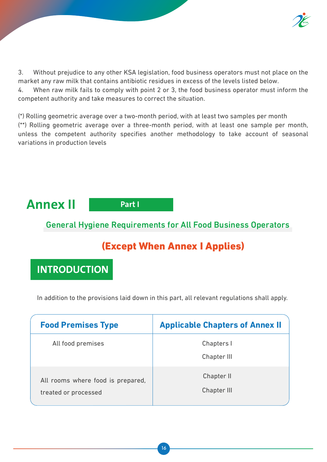

3. Without prejudice to any other KSA legislation, food business operators must not place on the market any raw milk that contains antibiotic residues in excess of the levels listed below.

4. When raw milk fails to comply with point 2 or 3, the food business operator must inform the competent authority and take measures to correct the situation.

(\*) Rolling geometric average over a two-month period, with at least two samples per month (\*\*) Rolling geometric average over a three-month period, with at least one sample per month, unless the competent authority specifies another methodology to take account of seasonal variations in production levels



**Part I**

### General Hygiene Requirements for All Food Business Operators

## (Except When Annex I Applies)

**INTRODUCTION**

In addition to the provisions laid down in this part, all relevant regulations shall apply.

| <b>Food Premises Type</b>                                 | <b>Applicable Chapters of Annex II</b> |
|-----------------------------------------------------------|----------------------------------------|
| All food premises                                         | Chapters I<br>Chapter III              |
| All rooms where food is prepared,<br>treated or processed | Chapter II<br>Chapter III              |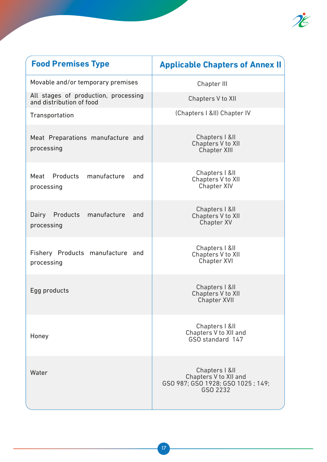

| <b>Food Premises Type</b>                                        | <b>Applicable Chapters of Annex II</b>                                                   |
|------------------------------------------------------------------|------------------------------------------------------------------------------------------|
| Movable and/or temporary premises                                | <b>Chapter III</b>                                                                       |
| All stages of production, processing<br>and distribution of food | Chapters V to XII                                                                        |
| Transportation                                                   | (Chapters   & II) Chapter IV                                                             |
| Meat Preparations manufacture and<br>processing                  | Chapters   & II<br>Chapters V to XII<br><b>Chapter XIII</b>                              |
| Meat Products manufacture<br>and<br>processing                   | Chapters   & II<br>Chapters V to XII<br><b>Chapter XIV</b>                               |
| Dairy Products<br>manufacture<br>and<br>processing               | Chapters   &II<br>Chapters V to XII<br><b>Chapter XV</b>                                 |
| Fishery Products manufacture and<br>processing                   | Chapters   &II<br>Chapters V to XII<br><b>Chapter XVI</b>                                |
| Egg products                                                     | Chapters   & II<br>Chapters V to XII<br><b>Chapter XVII</b>                              |
| Honey                                                            | Chapters   &II<br>Chapters V to XII and<br>GSO standard 147                              |
| Water                                                            | Chapters   &II<br>Chapters V to XII and<br>GSO 987; GSO 1928; GSO 1025; 149;<br>GSO 2232 |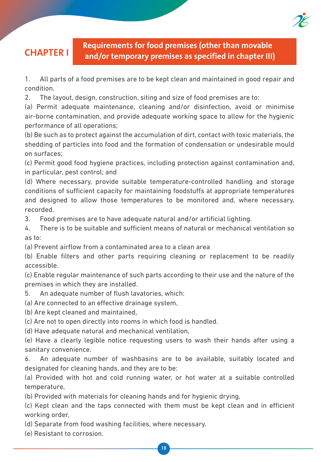**CHAPTER I Requirements for food premises (other than movable and/or temporary premises as specified in chapter III)**

1. All parts of a food premises are to be kept clean and maintained in good repair and condition.

2. The layout, design, construction, siting and size of food premises are to:

(a) Permit adequate maintenance, cleaning and/or disinfection, avoid or minimise air-borne contamination, and provide adequate working space to allow for the hygienic performance of all operations;

(b) Be such as to protect against the accumulation of dirt, contact with toxic materials, the shedding of particles into food and the formation of condensation or undesirable mould on surfaces;

(c) Permit good food hygiene practices, including protection against contamination and, in particular, pest control; and

(d) Where necessary, provide suitable temperature-controlled handling and storage conditions of sufficient capacity for maintaining foodstuffs at appropriate temperatures and designed to allow those temperatures to be monitored and, where necessary, recorded.

3. Food premises are to have adequate natural and/or artificial lighting.

4. There is to be suitable and sufficient means of natural or mechanical ventilation so as to:

(a) Prevent airflow from a contaminated area to a clean area

(b) Enable filters and other parts requiring cleaning or replacement to be readily accessible.

(c) Enable regular maintenance of such parts according to their use and the nature of the premises in which they are installed.

5. An adequate number of flush lavatories, which:

(a) Are connected to an effective drainage system,

(b) Are kept cleaned and maintained,

(c) Are not to open directly into rooms in which food is handled.

(d) Have adequate natural and mechanical ventilation,

(e) Have a clearly legible notice requesting users to wash their hands after using a sanitary convenience.

6. An adequate number of washbasins are to be available, suitably located and designated for cleaning hands, and they are to be:

(a) Provided with hot and cold running water, or hot water at a suitable controlled temperature,

(b) Provided with materials for cleaning hands and for hygienic drying,

(c) Kept clean and the taps connected with them must be kept clean and in efficient working order,

(d) Separate from food washing facilities, where necessary.

(e) Resistant to corrosion.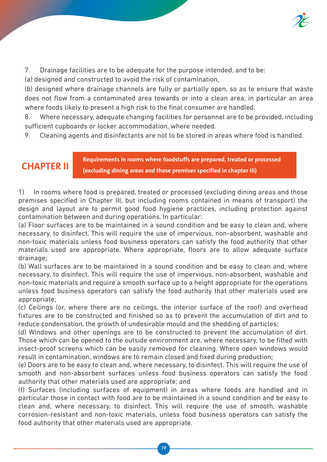

7. Drainage facilities are to be adequate for the purpose intended, and to be:

(a) designed and constructed to avoid the risk of contamination,

(b) designed where drainage channels are fully or partially open, so as to ensure that waste does not flow from a contaminated area towards or into a clean area, in particular an area where foods likely to present a high risk to the final consumer are handled.

8. Where necessary, adequate changing facilities for personnel are to be provided, including sufficient cupboards or locker accommodation, where needed.

9. Cleaning agents and disinfectants are not to be stored in areas where food is handled.

**CHAPTER II Requirements in rooms where foodstuffs are prepared, treated or processed (excluding dining areas and those premises specified in chapter III)**

1) In rooms where food is prepared, treated or processed (excluding dining areas and those premises specified in Chapter III, but including rooms contained in means of transport) the design and layout are to permit good food hygiene practices, including protection against contamination between and during operations. In particular:

(a) Floor surfaces are to be maintained in a sound condition and be easy to clean and, where necessary, to disinfect. This will require the use of impervious, non-absorbent, washable and non-toxic materials unless food business operators can satisfy the food authority that other materials used are appropriate. Where appropriate, floors are to allow adequate surface drainage;

(b) Wall surfaces are to be maintained in a sound condition and be easy to clean and, where necessary, to disinfect. This will require the use of impervious, non-absorbent, washable and non-toxic materials and require a smooth surface up to a height appropriate for the operations unless food business operators can satisfy the food authority that other materials used are appropriate;

(c) Ceilings (or, where there are no ceilings, the interior surface of the roof) and overhead fixtures are to be constructed and finished so as to prevent the accumulation of dirt and to reduce condensation, the growth of undesirable mould and the shedding of particles;

(d) Windows and other openings are to be constructed to prevent the accumulation of dirt. Those which can be opened to the outside environment are, where necessary, to be fitted with insect-proof screens which can be easily removed for cleaning. Where open windows would result in contamination, windows are to remain closed and fixed during production;

(e) Doors are to be easy to clean and, where necessary, to disinfect. This will require the use of smooth and non-absorbent surfaces unless food business operators can satisfy the food authority that other materials used are appropriate; and

(f) Surfaces (including surfaces of equipment) in areas where foods are handled and in particular those in contact with food are to be maintained in a sound condition and be easy to clean and, where necessary, to disinfect. This will require the use of smooth, washable corrosion-resistant and non-toxic materials, unless food business operators can satisfy the food authority that other materials used are appropriate.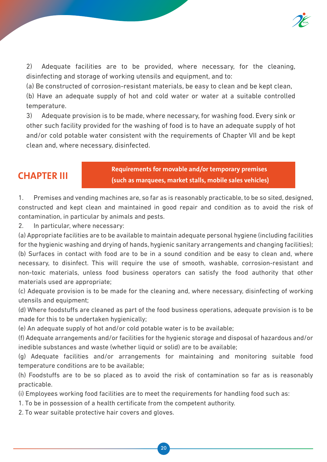

2) Adequate facilities are to be provided, where necessary, for the cleaning, disinfecting and storage of working utensils and equipment, and to:

(a) Be constructed of corrosion-resistant materials, be easy to clean and be kept clean,

(b) Have an adequate supply of hot and cold water or water at a suitable controlled temperature.

3) Adequate provision is to be made, where necessary, for washing food. Every sink or other such facility provided for the washing of food is to have an adequate supply of hot and/or cold potable water consistent with the requirements of Chapter VII and be kept clean and, where necessary, disinfected.

**CHAPTER III Requirements for movable and/or temporary premises (such as marquees, market stalls, mobile sales vehicles)**

1. Premises and vending machines are, so far as is reasonably practicable, to be so sited, designed, constructed and kept clean and maintained in good repair and condition as to avoid the risk of contamination, in particular by animals and pests.

2. In particular, where necessary:

(a) Appropriate facilities are to be available to maintain adequate personal hygiene (including facilities for the hygienic washing and drying of hands, hygienic sanitary arrangements and changing facilities); (b) Surfaces in contact with food are to be in a sound condition and be easy to clean and, where necessary, to disinfect. This will require the use of smooth, washable, corrosion-resistant and non-toxic materials, unless food business operators can satisfy the food authority that other materials used are appropriate;

(c) Adequate provision is to be made for the cleaning and, where necessary, disinfecting of working utensils and equipment;

(d) Where foodstuffs are cleaned as part of the food business operations, adequate provision is to be made for this to be undertaken hygienically;

(e) An adequate supply of hot and/or cold potable water is to be available;

(f) Adequate arrangements and/or facilities for the hygienic storage and disposal of hazardous and/or inedible substances and waste (whether liquid or solid) are to be available;

(g) Adequate facilities and/or arrangements for maintaining and monitoring suitable food temperature conditions are to be available;

(h) Foodstuffs are to be so placed as to avoid the risk of contamination so far as is reasonably practicable.

(i) Employees working food facilities are to meet the requirements for handling food such as:

1. To be in possession of a health certificate from the competent authority.

2. To wear suitable protective hair covers and gloves.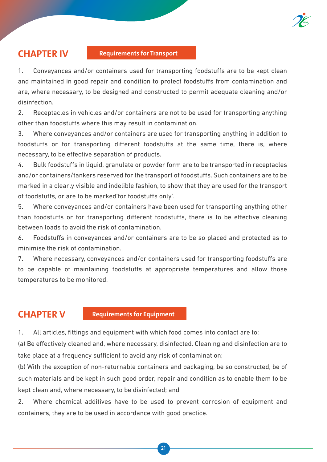

#### **CHAPTER IV Requirements for Transport**

1. Conveyances and/or containers used for transporting foodstuffs are to be kept clean and maintained in good repair and condition to protect foodstuffs from contamination and are, where necessary, to be designed and constructed to permit adequate cleaning and/or disinfection.

2. Receptacles in vehicles and/or containers are not to be used for transporting anything other than foodstuffs where this may result in contamination.

3. Where conveyances and/or containers are used for transporting anything in addition to foodstuffs or for transporting different foodstuffs at the same time, there is, where necessary, to be effective separation of products.

4. Bulk foodstuffs in liquid, granulate or powder form are to be transported in receptacles and/or containers/tankers reserved for the transport of foodstuffs. Such containers are to be marked in a clearly visible and indelible fashion, to show that they are used for the transport of foodstuffs, or are to be marked'for foodstuffs only'.

5. Where conveyances and/or containers have been used for transporting anything other than foodstuffs or for transporting different foodstuffs, there is to be effective cleaning between loads to avoid the risk of contamination.

6. Foodstuffs in conveyances and/or containers are to be so placed and protected as to minimise the risk of contamination.

7. Where necessary, conveyances and/or containers used for transporting foodstuffs are to be capable of maintaining foodstuffs at appropriate temperatures and allow those temperatures to be monitored.

### **CHAPTER V** Requirements for Equipment

1. All articles, fittings and equipment with which food comes into contact are to:

(a) Be effectively cleaned and, where necessary, disinfected. Cleaning and disinfection are to take place at a frequency sufficient to avoid any risk of contamination;

(b) With the exception of non-returnable containers and packaging, be so constructed, be of such materials and be kept in such good order, repair and condition as to enable them to be kept clean and, where necessary, to be disinfected; and

2. Where chemical additives have to be used to prevent corrosion of equipment and containers, they are to be used in accordance with good practice.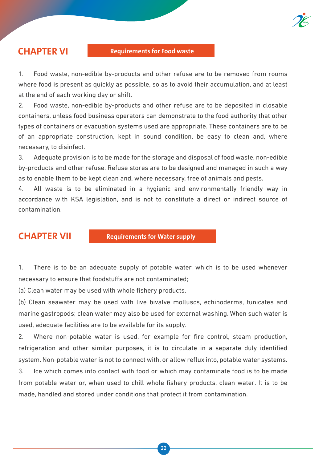

1. Food waste, non-edible by-products and other refuse are to be removed from rooms where food is present as quickly as possible, so as to avoid their accumulation, and at least at the end of each working day or shift.

2. Food waste, non-edible by-products and other refuse are to be deposited in closable containers, unless food business operators can demonstrate to the food authority that other types of containers or evacuation systems used are appropriate. These containers are to be of an appropriate construction, kept in sound condition, be easy to clean and, where necessary, to disinfect.

3. Adequate provision is to be made for the storage and disposal of food waste, non-edible by-products and other refuse. Refuse stores are to be designed and managed in such a way as to enable them to be kept clean and, where necessary, free of animals and pests.

4. All waste is to be eliminated in a hygienic and environmentally friendly way in accordance with KSA legislation, and is not to constitute a direct or indirect source of contamination.

**CHAPTER VII** Requirements for Water supply

1. There is to be an adequate supply of potable water, which is to be used whenever necessary to ensure that foodstuffs are not contaminated;

(a) Clean water may be used with whole fishery products.

(b) Clean seawater may be used with live bivalve molluscs, echinoderms, tunicates and marine gastropods; clean water may also be used for external washing. When such water is used, adequate facilities are to be available for its supply.

2. Where non-potable water is used, for example for fire control, steam production, refrigeration and other similar purposes, it is to circulate in a separate duly identified system. Non-potable water is not to connect with, or allow reflux into, potable water systems.

3. Ice which comes into contact with food or which may contaminate food is to be made from potable water or, when used to chill whole fishery products, clean water. It is to be made, handled and stored under conditions that protect it from contamination.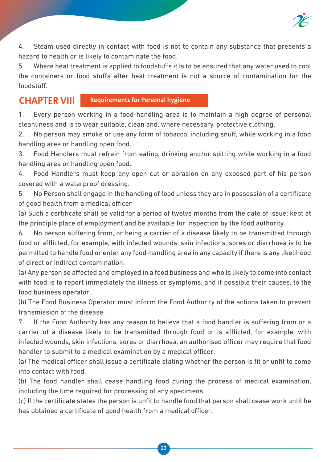

4. Steam used directly in contact with food is not to contain any substance that presents a hazard to health or is likely to contaminate the food.

5. Where heat treatment is applied to foodstuffs it is to be ensured that any water used to cool the containers or food stuffs after heat treatment is not a source of contamination for the foodstuff.

### **CHAPTER VIII Requirements for Personal hygiene**

1. Every person working in a food-handling area is to maintain a high degree of personal cleanliness and is to wear suitable, clean and, where necessary, protective clothing.

2. No person may smoke or use any form of tobacco, including snuff, while working in a food handling area or handling open food.

3. Food Handlers must refrain from eating, drinking and/or spitting while working in a food handling area or handling open food.

4. Food Handlers must keep any open cut or abrasion on any exposed part of his person covered with a waterproof dressing.

5. No Person shall engage in the handling of food unless they are in possession of a certificate of good health from a medical officer

(a) Such a certificate shall be valid for a period of twelve months from the date of issue; kept at the principle place of employment and be available for inspection by the food authority.

6. No person suffering from, or being a carrier of a disease likely to be transmitted through food or afflicted, for example, with infected wounds, skin infections, sores or diarrhoea is to be permitted to handle food or enter any food-handling area in any capacity if there is any likelihood of direct or indirect contamination.

(a) Any person so affected and employed in a food business and who is likely to come into contact with food is to report immediately the illness or symptoms, and if possible their causes, to the food business operator.

(b) The Food Business Operator must inform the Food Authority of the actions taken to prevent transmission of the disease.

7. If the Food Authority has any reason to believe that a food handler is suffering from or a carrier of a disease likely to be transmitted through food or is afflicted, for example, with infected wounds, skin infections, sores or diarrhoea, an authorised officer may require that food handler to submit to a medical examination by a medical officer.

(a) The medical officer shall issue a certificate stating whether the person is fit or unfit to come into contact with food.

(b) The food handler shall cease handling food during the process of medical examination, including the time required for processing of any specimens.

(c) If the certificate states the person is unfit to handle food that person shall cease work until he has obtained a certificate of good health from a medical officer.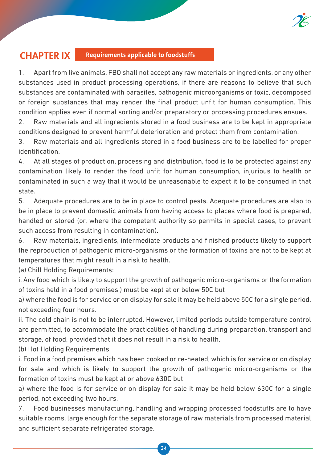

### **CHAPTER IX Requirements applicable to foodstuffs**

1. Apart from live animals, FBO shall not accept any raw materials or ingredients, or any other substances used in product processing operations, if there are reasons to believe that such substances are contaminated with parasites, pathogenic microorganisms or toxic, decomposed or foreign substances that may render the final product unfit for human consumption. This condition applies even if normal sorting and/or preparatory or processing procedures ensues.

2. Raw materials and all ingredients stored in a food business are to be kept in appropriate conditions designed to prevent harmful deterioration and protect them from contamination.

3. Raw materials and all ingredients stored in a food business are to be labelled for proper identification.

4. At all stages of production, processing and distribution, food is to be protected against any contamination likely to render the food unfit for human consumption, injurious to health or contaminated in such a way that it would be unreasonable to expect it to be consumed in that state.

5. Adequate procedures are to be in place to control pests. Adequate procedures are also to be in place to prevent domestic animals from having access to places where food is prepared, handled or stored (or, where the competent authority so permits in special cases, to prevent such access from resulting in contamination).

6. Raw materials, ingredients, intermediate products and finished products likely to support the reproduction of pathogenic micro-organisms or the formation of toxins are not to be kept at temperatures that might result in a risk to health.

(a) Chill Holding Requirements:

i. Any food which is likely to support the growth of pathogenic micro-organisms or the formation of toxins held in a food premises ) must be kept at or below 50C but

a) where the food is for service or on display for sale it may be held above 50C for a single period, not exceeding four hours.

ii. The cold chain is not to be interrupted. However, limited periods outside temperature control are permitted, to accommodate the practicalities of handling during preparation, transport and storage, of food, provided that it does not result in a risk to health.

(b) Hot Holding Requirements

i. Food in a food premises which has been cooked or re-heated, which is for service or on display for sale and which is likely to support the growth of pathogenic micro-organisms or the formation of toxins must be kept at or above 630C but

a) where the food is for service or on display for sale it may be held below 630C for a single period, not exceeding two hours.

7. Food businesses manufacturing, handling and wrapping processed foodstuffs are to have suitable rooms, large enough for the separate storage of raw materials from processed material and sufficient separate refrigerated storage.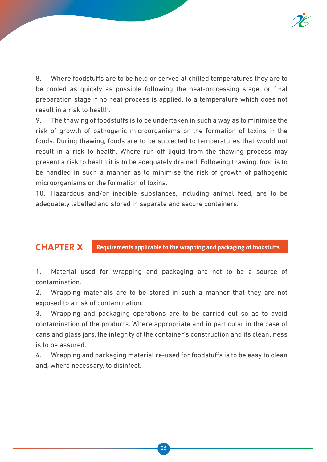

8. Where foodstuffs are to be held or served at chilled temperatures they are to be cooled as quickly as possible following the heat-processing stage, or final preparation stage if no heat process is applied, to a temperature which does not result in a risk to health.

9. The thawing of foodstuffs is to be undertaken in such a way as to minimise the risk of growth of pathogenic microorganisms or the formation of toxins in the foods. During thawing, foods are to be subjected to temperatures that would not result in a risk to health. Where run-off liquid from the thawing process may present a risk to health it is to be adequately drained. Following thawing, food is to be handled in such a manner as to minimise the risk of growth of pathogenic microorganisms or the formation of toxins.

10. Hazardous and/or inedible substances, including animal feed, are to be adequately labelled and stored in separate and secure containers.

### **CHAPTER X Requirements applicable to the wrapping and packaging of foodstuffs**

1. Material used for wrapping and packaging are not to be a source of contamination.

2. Wrapping materials are to be stored in such a manner that they are not exposed to a risk of contamination.

3. Wrapping and packaging operations are to be carried out so as to avoid contamination of the products. Where appropriate and in particular in the case of cans and glass jars, the integrity of the container's construction and its cleanliness is to be assured.

4. Wrapping and packaging material re-used for foodstuffs is to be easy to clean and, where necessary, to disinfect.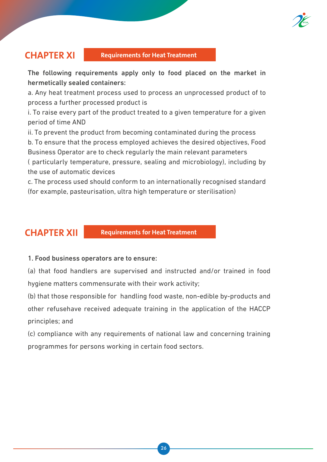

### **CHAPTER XI Requirements for Heat Treatment**

The following requirements apply only to food placed on the market in hermetically sealed containers:

a. Any heat treatment process used to process an unprocessed product of to process a further processed product is

i. To raise every part of the product treated to a given temperature for a given period of time AND

ii. To prevent the product from becoming contaminated during the process

b. To ensure that the process employed achieves the desired objectives, Food Business Operator are to check regularly the main relevant parameters

( particularly temperature, pressure, sealing and microbiology), including by the use of automatic devices

c. The process used should conform to an internationally recognised standard (for example, pasteurisation, ultra high temperature or sterilisation)

**CHAPTER XII Requirements for Heat Treatment** 

#### 1. Food business operators are to ensure:

(a) that food handlers are supervised and instructed and/or trained in food hygiene matters commensurate with their work activity;

(b) that those responsible for handling food waste, non-edible by-products and other refusehave received adequate training in the application of the HACCP principles; and

(c) compliance with any requirements of national law and concerning training programmes for persons working in certain food sectors.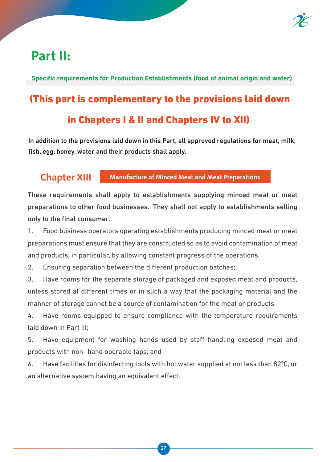

## **Part II:**

**Specific requirements for Production Establishments (food of animal origin and water)**

# (This part is complementary to the provisions laid down

## in Chapters I & II and Chapters IV to XII)

In addition to the provisions laid down in this Part, all approved regulations for meat, milk, fish, egg, honey, water and their products shall apply.

### **Chapter XIII Manufacture of Minced Meat and Meat Preparations**

These requirements shall apply to establishments supplying minced meat or meat preparations to other food businesses. They shall not apply to establishments selling only to the final consumer.

1. Food business operators operating establishments producing minced meat or meat preparations must ensure that they are constructed so as to avoid contamination of meat and products, in particular, by allowing constant progress of the operations.

2. Ensuring separation between the different production batches;

3. Have rooms for the separate storage of packaged and exposed meat and products, unless stored at different times or in such a way that the packaging material and the manner of storage cannot be a source of contamination for the meat or products;

4. Have rooms equipped to ensure compliance with the temperature requirements laid down in Part III;

5. Have equipment for washing hands used by staff handling exposed meat and products with non- hand operable taps; and

6. Have facilities for disinfecting tools with hot water supplied at not less than 82ºC, or an alternative system having an equivalent effect.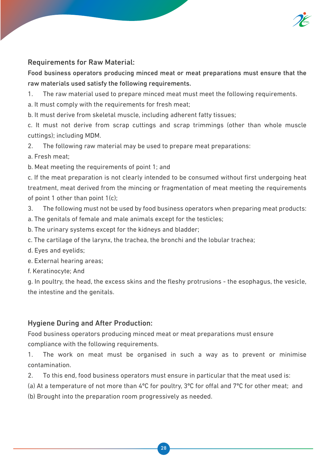

### Requirements for Raw Material:

Food business operators producing minced meat or meat preparations must ensure that the raw materials used satisfy the following requirements.

1. The raw material used to prepare minced meat must meet the following requirements.

a. It must comply with the requirements for fresh meat;

b. It must derive from skeletal muscle, including adherent fatty tissues;

c. It must not derive from scrap cuttings and scrap trimmings (other than whole muscle cuttings); including MDM.

2. The following raw material may be used to prepare meat preparations:

a. Fresh meat;

b. Meat meeting the requirements of point 1; and

c. If the meat preparation is not clearly intended to be consumed without first undergoing heat treatment, meat derived from the mincing or fragmentation of meat meeting the requirements of point 1 other than point  $1(c)$ ;

3. The following must not be used by food business operators when preparing meat products:

a. The genitals of female and male animals except for the testicles;

b. The urinary systems except for the kidneys and bladder;

c. The cartilage of the larynx, the trachea, the bronchi and the lobular trachea;

d. Eyes and eyelids;

e. External hearing areas;

f. Keratinocyte; And

g. In poultry, the head, the excess skins and the fleshy protrusions - the esophagus, the vesicle, the intestine and the genitals.

### Hygiene During and After Production:

Food business operators producing minced meat or meat preparations must ensure compliance with the following requirements.

1. The work on meat must be organised in such a way as to prevent or minimise contamination.

2. To this end, food business operators must ensure in particular that the meat used is:

(a) At a temperature of not more than 4ºC for poultry, 3ºC for offal and 7ºC for other meat; and

(b) Brought into the preparation room progressively as needed.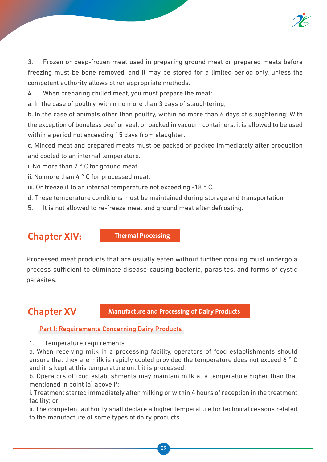

3. Frozen or deep-frozen meat used in preparing ground meat or prepared meats before freezing must be bone removed, and it may be stored for a limited period only, unless the competent authority allows other appropriate methods.

4. When preparing chilled meat, you must prepare the meat:

a. In the case of poultry, within no more than 3 days of slaughtering;

b. In the case of animals other than poultry, within no more than 6 days of slaughtering; With the exception of boneless beef or veal, or packed in vacuum containers, it is allowed to be used within a period not exceeding 15 days from slaughter.

c. Minced meat and prepared meats must be packed or packed immediately after production and cooled to an internal temperature.

i. No more than 2 ° C for ground meat.

- ii. No more than 4 ° C for processed meat.
- iii. Or freeze it to an internal temperature not exceeding -18 ° C.
- d. These temperature conditions must be maintained during storage and transportation.
- 5. It is not allowed to re-freeze meat and ground meat after defrosting.

**Chapter XIV:** Thermal Processing

Processed meat products that are usually eaten without further cooking must undergo a process sufficient to eliminate disease-causing bacteria, parasites, and forms of cystic parasites.

**Chapter XV** Manufacture and Processing of Dairy Products

### Part I: Requirements Concerning Dairy Products

1. Temperature requirements

a. When receiving milk in a processing facility, operators of food establishments should ensure that they are milk is rapidly cooled provided the temperature does not exceed 6 ° C and it is kept at this temperature until it is processed.

b. Operators of food establishments may maintain milk at a temperature higher than that mentioned in point (a) above if:

i. Treatment started immediately after milking or within 4 hours of reception in the treatment facility; or

ii. The competent authority shall declare a higher temperature for technical reasons related to the manufacture of some types of dairy products.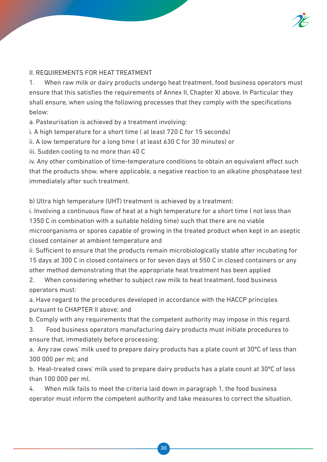

### II. REQUIREMENTS FOR HEAT TREATMENT

1. When raw milk or dairy products undergo heat treatment, food business operators must ensure that this satisfies the requirements of Annex II, Chapter XI above. In Particular they shall ensure, when using the following processes that they comply with the specifications below:

a. Pasteurisation is achieved by a treatment involving:

i. A high temperature for a short time ( at least 720 C for 15 seconds)

ii. A low temperature for a long time ( at least 630 C for 30 minutes) or

iii. Sudden cooling to no more than 40 C

iv. Any other combination of time-temperature conditions to obtain an equivalent effect such that the products show, where applicable, a negative reaction to an alkaline phosphatase test immediately after such treatment.

b) Ultra high temperature (UHT) treatment is achieved by a treatment:

i. Involving a continuous flow of heat at a high temperature for a short time ( not less than 1350 C in combination with a suitable holding time) such that there are no viable microorganisms or spores capable of growing in the treated product when kept in an aseptic closed container at ambient temperature and

ii. Sufficient to ensure that the products remain microbiologically stable after incubating for 15 days at 300 C in closed containers or for seven days at 550 C in closed containers or any other method demonstrating that the appropriate heat treatment has been applied

2. When considering whether to subject raw milk to heat treatment, food business operators must:

a. Have regard to the procedures developed in accordance with the HACCP principles pursuant to CHAPTER II above; and

b. Comply with any requirements that the competent authority may impose in this regard.

3. Food business operators manufacturing dairy products must initiate procedures to ensure that, immediately before processing:

a. Any raw cows' milk used to prepare dairy products has a plate count at 30ºC of less than 300 000 per ml; and

b. Heat-treated cows' milk used to prepare dairy products has a plate count at 30ºC of less than 100 000 per ml.

4. When milk fails to meet the criteria laid down in paragraph 1, the food business operator must inform the competent authority and take measures to correct the situation.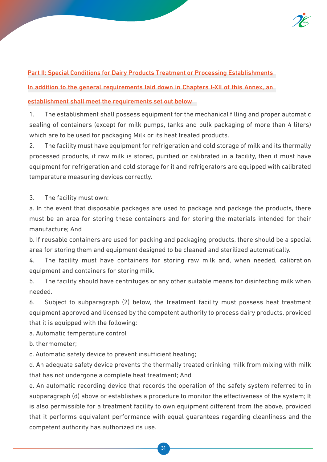

Part II: Special Conditions for Dairy Products Treatment or Processing Establishments

In addition to the general requirements laid down in Chapters I-XII of this Annex, an

#### establishment shall meet the requirements set out below

1. The establishment shall possess equipment for the mechanical filling and proper automatic sealing of containers (except for milk pumps, tanks and bulk packaging of more than 4 liters) which are to be used for packaging Milk or its heat treated products.

2. The facility must have equipment for refrigeration and cold storage of milk and its thermally processed products, if raw milk is stored, purified or calibrated in a facility, then it must have equipment for refrigeration and cold storage for it and refrigerators are equipped with calibrated temperature measuring devices correctly.

3. The facility must own:

a. In the event that disposable packages are used to package and package the products, there must be an area for storing these containers and for storing the materials intended for their manufacture; And

b. If reusable containers are used for packing and packaging products, there should be a special area for storing them and equipment designed to be cleaned and sterilized automatically.

4. The facility must have containers for storing raw milk and, when needed, calibration equipment and containers for storing milk.

5. The facility should have centrifuges or any other suitable means for disinfecting milk when needed.

6. Subject to subparagraph (2) below, the treatment facility must possess heat treatment equipment approved and licensed by the competent authority to process dairy products, provided that it is equipped with the following:

a. Automatic temperature control

b. thermometer;

c. Automatic safety device to prevent insufficient heating;

d. An adequate safety device prevents the thermally treated drinking milk from mixing with milk that has not undergone a complete heat treatment; And

e. An automatic recording device that records the operation of the safety system referred to in subparagraph (d) above or establishes a procedure to monitor the effectiveness of the system; It is also permissible for a treatment facility to own equipment different from the above, provided that it performs equivalent performance with equal guarantees regarding cleanliness and the competent authority has authorized its use.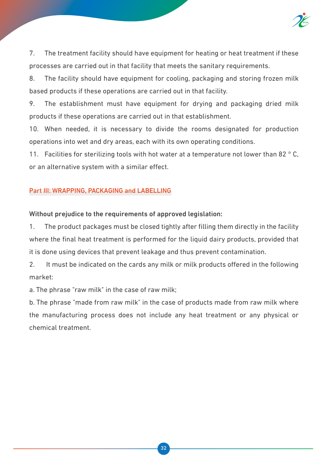

7. The treatment facility should have equipment for heating or heat treatment if these processes are carried out in that facility that meets the sanitary requirements.

8. The facility should have equipment for cooling, packaging and storing frozen milk based products if these operations are carried out in that facility.

9. The establishment must have equipment for drying and packaging dried milk products if these operations are carried out in that establishment.

10. When needed, it is necessary to divide the rooms designated for production operations into wet and dry areas, each with its own operating conditions.

11. Facilities for sterilizing tools with hot water at a temperature not lower than 82  $^{\circ}$  C. or an alternative system with a similar effect.

### Part III: WRAPPING, PACKAGING and LABELLING

### Without prejudice to the requirements of approved legislation:

1. The product packages must be closed tightly after filling them directly in the facility where the final heat treatment is performed for the liquid dairy products, provided that it is done using devices that prevent leakage and thus prevent contamination.

2. It must be indicated on the cards any milk or milk products offered in the following market:

a. The phrase "raw milk" in the case of raw milk;

b. The phrase "made from raw milk" in the case of products made from raw milk where the manufacturing process does not include any heat treatment or any physical or chemical treatment.

32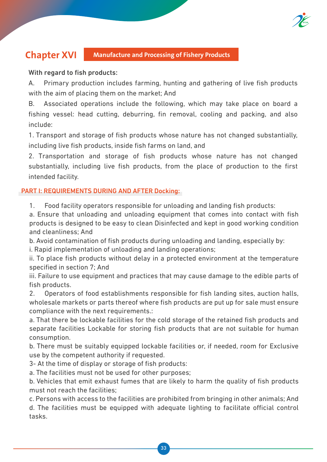

## **Chapter XVI Manufacture and Processing of Fishery Products**

### With regard to fish products:

A. Primary production includes farming, hunting and gathering of live fish products with the aim of placing them on the market; And

B. Associated operations include the following, which may take place on board a fishing vessel: head cutting, deburring, fin removal, cooling and packing, and also include:

1. Transport and storage of fish products whose nature has not changed substantially, including live fish products, inside fish farms on land, and

2. Transportation and storage of fish products whose nature has not changed substantially, including live fish products, from the place of production to the first intended facility.

### PART I: REQUIREMENTS DURING AND AFTER Docking:

1. Food facility operators responsible for unloading and landing fish products:

a. Ensure that unloading and unloading equipment that comes into contact with fish products is designed to be easy to clean Disinfected and kept in good working condition and cleanliness; And

b. Avoid contamination of fish products during unloading and landing, especially by:

i. Rapid implementation of unloading and landing operations;

ii. To place fish products without delay in a protected environment at the temperature specified in section 7; And

iii. Failure to use equipment and practices that may cause damage to the edible parts of fish products.

2. Operators of food establishments responsible for fish landing sites, auction halls, wholesale markets or parts thereof where fish products are put up for sale must ensure compliance with the next requirements.:

a. That there be lockable facilities for the cold storage of the retained fish products and separate facilities Lockable for storing fish products that are not suitable for human consumption.

b. There must be suitably equipped lockable facilities or, if needed, room for Exclusive use by the competent authority if requested.

3- At the time of display or storage of fish products:

a. The facilities must not be used for other purposes;

b. Vehicles that emit exhaust fumes that are likely to harm the quality of fish products must not reach the facilities;

c. Persons with access to the facilities are prohibited from bringing in other animals; And d. The facilities must be equipped with adequate lighting to facilitate official control tasks.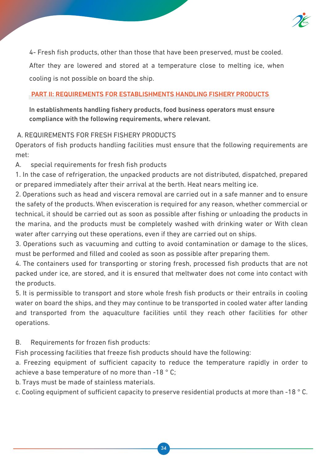

4- Fresh fish products, other than those that have been preserved, must be cooled. After they are lowered and stored at a temperature close to melting ice, when cooling is not possible on board the ship.

### PART II: REQUIREMENTS FOR ESTABLISHMENTS HANDLING FISHERY PRODUCTS

In establishments handling fishery products, food business operators must ensure compliance with the following requirements, where relevant.

### A. REQUIREMENTS FOR FRESH FISHERY PRODUCTS

Operators of fish products handling facilities must ensure that the following requirements are met:

A. special requirements for fresh fish products

1. In the case of refrigeration, the unpacked products are not distributed, dispatched, prepared or prepared immediately after their arrival at the berth. Heat nears melting ice.

2. Operations such as head and viscera removal are carried out in a safe manner and to ensure the safety of the products. When evisceration is required for any reason, whether commercial or technical, it should be carried out as soon as possible after fishing or unloading the products in the marina, and the products must be completely washed with drinking water or With clean water after carrying out these operations, even if they are carried out on ships.

3. Operations such as vacuuming and cutting to avoid contamination or damage to the slices, must be performed and filled and cooled as soon as possible after preparing them.

4. The containers used for transporting or storing fresh, processed fish products that are not packed under ice, are stored, and it is ensured that meltwater does not come into contact with the products.

5. It is permissible to transport and store whole fresh fish products or their entrails in cooling water on board the ships, and they may continue to be transported in cooled water after landing and transported from the aquaculture facilities until they reach other facilities for other operations.

### B. Requirements for frozen fish products:

Fish processing facilities that freeze fish products should have the following:

a. Freezing equipment of sufficient capacity to reduce the temperature rapidly in order to achieve a base temperature of no more than -18 ° C;

b. Trays must be made of stainless materials.

c. Cooling equipment of sufficient capacity to preserve residential products at more than -18 ° C.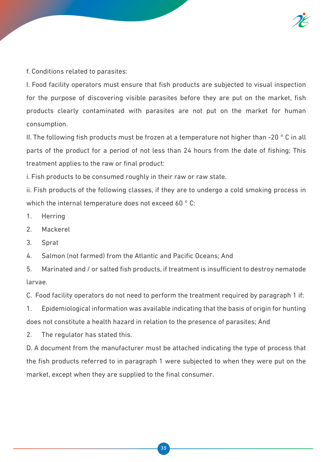

f. Conditions related to parasites:

I. Food facility operators must ensure that fish products are subjected to visual inspection for the purpose of discovering visible parasites before they are put on the market, fish products clearly contaminated with parasites are not put on the market for human consumption.

II. The following fish products must be frozen at a temperature not higher than -20 ° C in all parts of the product for a period of not less than 24 hours from the date of fishing; This treatment applies to the raw or final product:

i. Fish products to be consumed roughly in their raw or raw state.

ii. Fish products of the following classes, if they are to undergo a cold smoking process in which the internal temperature does not exceed 60 °C:

- 1. Herring
- 2. Mackerel
- 3. Sprat
- 4. Salmon (not farmed) from the Atlantic and Pacific Oceans; And

5. Marinated and / or salted fish products, if treatment is insufficient to destroy nematode larvae.

C. Food facility operators do not need to perform the treatment required by paragraph 1 if:

1. Epidemiological information was available indicating that the basis of origin for hunting does not constitute a health hazard in relation to the presence of parasites; And

2. The regulator has stated this.

D. A document from the manufacturer must be attached indicating the type of process that the fish products referred to in paragraph 1 were subjected to when they were put on the market, except when they are supplied to the final consumer.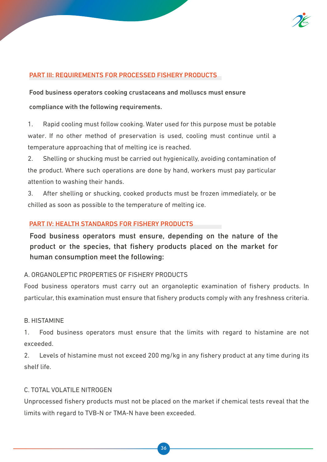

### PART III: REQUIREMENTS FOR PROCESSED FISHERY PRODUCTS

Food business operators cooking crustaceans and molluscs must ensure compliance with the following requirements.

1. Rapid cooling must follow cooking. Water used for this purpose must be potable water. If no other method of preservation is used, cooling must continue until a temperature approaching that of melting ice is reached.

2. Shelling or shucking must be carried out hygienically, avoiding contamination of the product. Where such operations are done by hand, workers must pay particular attention to washing their hands.

3. After shelling or shucking, cooked products must be frozen immediately, or be chilled as soon as possible to the temperature of melting ice.

### PART IV: HEALTH STANDARDS FOR FISHERY PRODUCTS

Food business operators must ensure, depending on the nature of the product or the species, that fishery products placed on the market for human consumption meet the following:

#### A. ORGANOLEPTIC PROPERTIES OF FISHERY PRODUCTS

Food business operators must carry out an organoleptic examination of fishery products. In particular, this examination must ensure that fishery products comply with any freshness criteria.

#### B. HISTAMINE

1. Food business operators must ensure that the limits with regard to histamine are not exceeded.

2. Levels of histamine must not exceed 200 mg/kg in any fishery product at any time during its shelf life.

#### C. TOTAL VOLATILE NITROGEN

Unprocessed fishery products must not be placed on the market if chemical tests reveal that the limits with regard to TVB-N or TMA-N have been exceeded.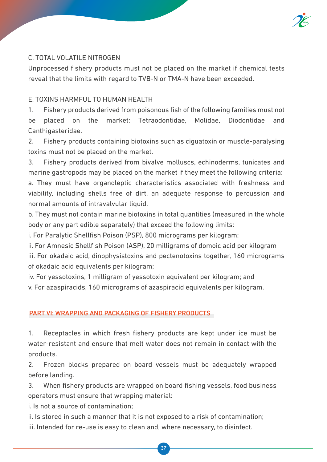

### C. TOTAL VOLATILE NITROGEN

Unprocessed fishery products must not be placed on the market if chemical tests reveal that the limits with regard to TVB-N or TMA-N have been exceeded.

### E. TOXINS HARMFUL TO HUMAN HEALTH

1. Fishery products derived from poisonous fish of the following families must not be placed on the market: Tetraodontidae, Molidae, Diodontidae and Canthigasteridae.

2. Fishery products containing biotoxins such as ciguatoxin or muscle-paralysing toxins must not be placed on the market.

3. Fishery products derived from bivalve molluscs, echinoderms, tunicates and marine gastropods may be placed on the market if they meet the following criteria:

a. They must have organoleptic characteristics associated with freshness and viability, including shells free of dirt, an adequate response to percussion and normal amounts of intravalvular liquid.

b. They must not contain marine biotoxins in total quantities (measured in the whole body or any part edible separately) that exceed the following limits:

i. For Paralytic Shellfish Poison (PSP), 800 micrograms per kilogram;

ii. For Amnesic Shellfish Poison (ASP), 20 milligrams of domoic acid per kilogram iii. For okadaic acid, dinophysistoxins and pectenotoxins together, 160 micrograms of okadaic acid equivalents per kilogram;

iv. For yessotoxins, 1 milligram of yessotoxin equivalent per kilogram; and v. For azaspiracids, 160 micrograms of azaspiracid equivalents per kilogram.

### PART VI: WRAPPING AND PACKAGING OF FISHERY PRODUCTS

1. Receptacles in which fresh fishery products are kept under ice must be water-resistant and ensure that melt water does not remain in contact with the products.

2. Frozen blocks prepared on board vessels must be adequately wrapped before landing.

3. When fishery products are wrapped on board fishing vessels, food business operators must ensure that wrapping material:

i. Is not a source of contamination;

ii. Is stored in such a manner that it is not exposed to a risk of contamination; iii. Intended for re-use is easy to clean and, where necessary, to disinfect.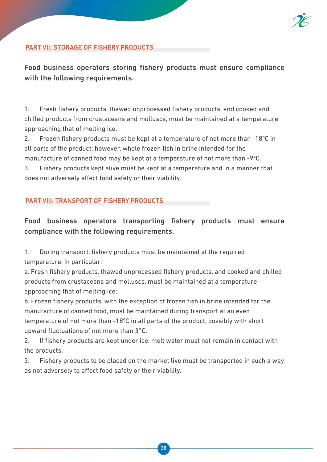

### PART VII: STORAGE OF FISHERY PRODUCTS

Food business operators storing fishery products must ensure compliance with the following requirements.

1. Fresh fishery products, thawed unprocessed fishery products, and cooked and chilled products from crustaceans and molluscs, must be maintained at a temperature approaching that of melting ice.

2. Frozen fishery products must be kept at a temperature of not more than -18ºC in all parts of the product; however, whole frozen fish in brine intended for the manufacture of canned food may be kept at a temperature of not more than -9ºC.

3. Fishery products kept alive must be kept at a temperature and in a manner that does not adversely affect food safety or their viability.

### PART VIII: TRANSPORT OF FISHERY PRODUCTS

### Food business operators transporting fishery products must ensure compliance with the following requirements.

1. During transport, fishery products must be maintained at the required temperature. In particular:

a. Fresh fishery products, thawed unprocessed fishery products, and cooked and chilled products from crustaceans and molluscs, must be maintained at a temperature approaching that of melting ice;

b. Frozen fishery products, with the exception of frozen fish in brine intended for the manufacture of canned food, must be maintained during transport at an even temperature of not more than -18ºC in all parts of the product, possibly with short upward fluctuations of not more than 3°C.

2. If fishery products are kept under ice, melt water must not remain in contact with the products.

3. Fishery products to be placed on the market live must be transported in such a way as not adversely to affect food safety or their viability.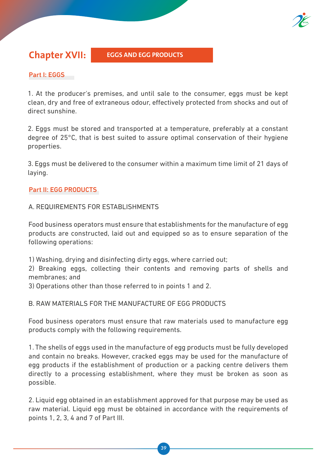

**Chapter XVII:** EGGS AND EGG PRODUCTS

### Part I: EGGS

1. At the producer's premises, and until sale to the consumer, eggs must be kept clean, dry and free of extraneous odour, effectively protected from shocks and out of direct sunshine.

2. Eggs must be stored and transported at a temperature, preferably at a constant degree of 25°C, that is best suited to assure optimal conservation of their hygiene properties.

3. Eggs must be delivered to the consumer within a maximum time limit of 21 days of laying.

### Part II: EGG PRODUCTS

### A. REQUIREMENTS FOR ESTABLISHMENTS

Food business operators must ensure that establishments for the manufacture of egg products are constructed, laid out and equipped so as to ensure separation of the following operations:

1) Washing, drying and disinfecting dirty eggs, where carried out;

2) Breaking eggs, collecting their contents and removing parts of shells and membranes; and

3) Operations other than those referred to in points 1 and 2.

### B. RAW MATERIALS FOR THE MANUFACTURE OF EGG PRODUCTS

Food business operators must ensure that raw materials used to manufacture egg products comply with the following requirements.

1. The shells of eggs used in the manufacture of egg products must be fully developed and contain no breaks. However, cracked eggs may be used for the manufacture of egg products if the establishment of production or a packing centre delivers them directly to a processing establishment, where they must be broken as soon as possible.

2. Liquid egg obtained in an establishment approved for that purpose may be used as raw material. Liquid egg must be obtained in accordance with the requirements of points 1, 2, 3, 4 and 7 of Part III.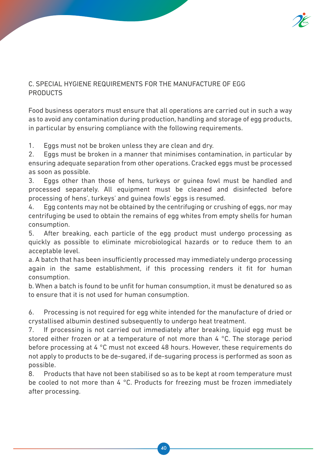### C. SPECIAL HYGIENE REQUIREMENTS FOR THE MANUFACTURE OF EGG **PRODUCTS**

Food business operators must ensure that all operations are carried out in such a way as to avoid any contamination during production, handling and storage of egg products, in particular by ensuring compliance with the following requirements.

1. Eggs must not be broken unless they are clean and dry.

2. Eggs must be broken in a manner that minimises contamination, in particular by ensuring adequate separation from other operations. Cracked eggs must be processed as soon as possible.

3. Eggs other than those of hens, turkeys or guinea fowl must be handled and processed separately. All equipment must be cleaned and disinfected before processing of hens', turkeys' and guinea fowls' eggs is resumed.

4. Egg contents may not be obtained by the centrifuging or crushing of eggs, nor may centrifuging be used to obtain the remains of egg whites from empty shells for human consumption.

5. After breaking, each particle of the egg product must undergo processing as quickly as possible to eliminate microbiological hazards or to reduce them to an acceptable level.

a. A batch that has been insufficiently processed may immediately undergo processing again in the same establishment, if this processing renders it fit for human consumption.

b. When a batch is found to be unfit for human consumption, it must be denatured so as to ensure that it is not used for human consumption.

6. Processing is not required for egg white intended for the manufacture of dried or crystallised albumin destined subsequently to undergo heat treatment.

7. If processing is not carried out immediately after breaking, liquid egg must be stored either frozen or at a temperature of not more than 4 °C. The storage period before processing at 4 °C must not exceed 48 hours. However, these requirements do not apply to products to be de-sugared, if de-sugaring process is performed as soon as possible.

8. Products that have not been stabilised so as to be kept at room temperature must be cooled to not more than 4 °C. Products for freezing must be frozen immediately after processing.